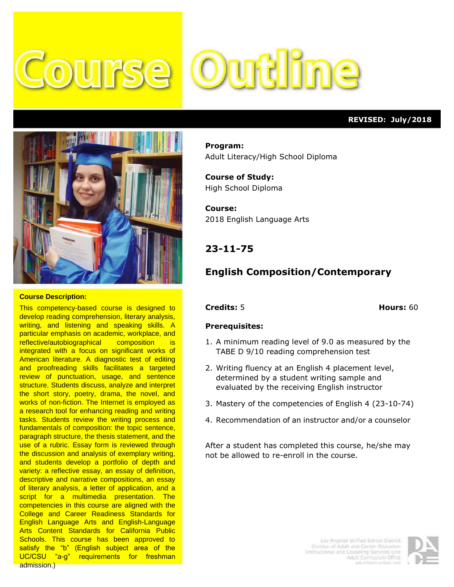# Outline

#### **REVISED: July/2018**



#### **Course Description:**

This competency-based course is designed to develop reading comprehension, literary analysis, writing, and listening and speaking skills. A particular emphasis on academic, workplace, and reflective/autobiographical composition is integrated with a focus on significant works of American literature. A diagnostic test of editing and proofreading skills facilitates a targeted review of punctuation, usage, and sentence structure. Students discuss, analyze and interpret the short story, poetry, drama, the novel, and works of non-fiction. The Internet is employed as a research tool for enhancing reading and writing tasks. Students review the writing process and fundamentals of composition: the topic sentence, paragraph structure, the thesis statement, and the use of a rubric. Essay form is reviewed through the discussion and analysis of exemplary writing, and students develop a portfolio of depth and variety: a reflective essay, an essay of definition, descriptive and narrative compositions, an essay of literary analysis, a letter of application, and a script for a multimedia presentation. The competencies in this course are aligned with the College and Career Readiness Standards for English Language Arts and English-Language Arts Content Standards for California Public Schools. This course has been approved to satisfy the "b" (English subject area of the UC/CSU "a-g" requirements for freshman admission.)

**Program:**  Adult Literacy/High School Diploma

#### **Course of Study:**  High School Diploma

**Course:**  2018 English Language Arts

## **23-11-75**

# **English Composition/Contemporary**

**Credits:** 5 **Hours:** 60

## **Prerequisites:**

- 1. A minimum reading level of 9.0 as measured by the TABE D 9/10 reading comprehension test
- 2. Writing fluency at an English 4 placement level, determined by a student writing sample and evaluated by the receiving English instructor
- 3. Mastery of the competencies of English 4 (23-10-74)
- 4. Recommendation of an instructor and/or a counselor

After a student has completed this course, he/she may not be allowed to re-enroll in the course.

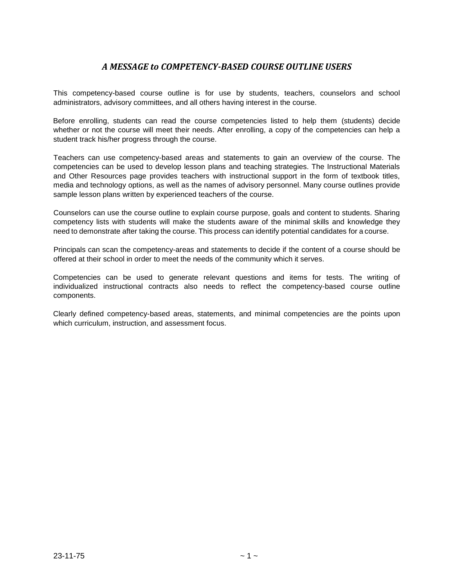## *A MESSAGE to COMPETENCY-BASED COURSE OUTLINE USERS*

This competency-based course outline is for use by students, teachers, counselors and school administrators, advisory committees, and all others having interest in the course.

Before enrolling, students can read the course competencies listed to help them (students) decide whether or not the course will meet their needs. After enrolling, a copy of the competencies can help a student track his/her progress through the course.

Teachers can use competency-based areas and statements to gain an overview of the course. The competencies can be used to develop lesson plans and teaching strategies. The Instructional Materials and Other Resources page provides teachers with instructional support in the form of textbook titles, media and technology options, as well as the names of advisory personnel. Many course outlines provide sample lesson plans written by experienced teachers of the course.

Counselors can use the course outline to explain course purpose, goals and content to students. Sharing competency lists with students will make the students aware of the minimal skills and knowledge they need to demonstrate after taking the course. This process can identify potential candidates for a course.

Principals can scan the competency-areas and statements to decide if the content of a course should be offered at their school in order to meet the needs of the community which it serves.

Competencies can be used to generate relevant questions and items for tests. The writing of individualized instructional contracts also needs to reflect the competency-based course outline components.

Clearly defined competency-based areas, statements, and minimal competencies are the points upon which curriculum, instruction, and assessment focus.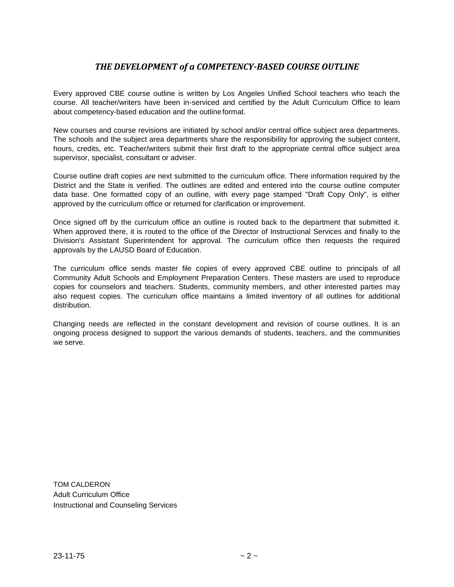## *THE DEVELOPMENT of a COMPETENCY-BASED COURSE OUTLINE*

Every approved CBE course outline is written by Los Angeles Unified School teachers who teach the course. All teacher/writers have been in-serviced and certified by the Adult Curriculum Office to learn about competency-based education and the outline format.

New courses and course revisions are initiated by school and/or central office subject area departments. The schools and the subject area departments share the responsibility for approving the subject content, hours, credits, etc. Teacher/writers submit their first draft to the appropriate central office subject area supervisor, specialist, consultant or adviser.

Course outline draft copies are next submitted to the curriculum office. There information required by the District and the State is verified. The outlines are edited and entered into the course outline computer data base. One formatted copy of an outline, with every page stamped "Draft Copy Only", is either approved by the curriculum office or returned for clarification or improvement.

Once signed off by the curriculum office an outline is routed back to the department that submitted it. When approved there, it is routed to the office of the Director of Instructional Services and finally to the Division's Assistant Superintendent for approval. The curriculum office then requests the required approvals by the LAUSD Board of Education.

The curriculum office sends master file copies of every approved CBE outline to principals of all Community Adult Schools and Employment Preparation Centers. These masters are used to reproduce copies for counselors and teachers. Students, community members, and other interested parties may also request copies. The curriculum office maintains a limited inventory of all outlines for additional distribution.

Changing needs are reflected in the constant development and revision of course outlines. It is an ongoing process designed to support the various demands of students, teachers, and the communities we serve.

TOM CALDERON Adult Curriculum Office Instructional and Counseling Services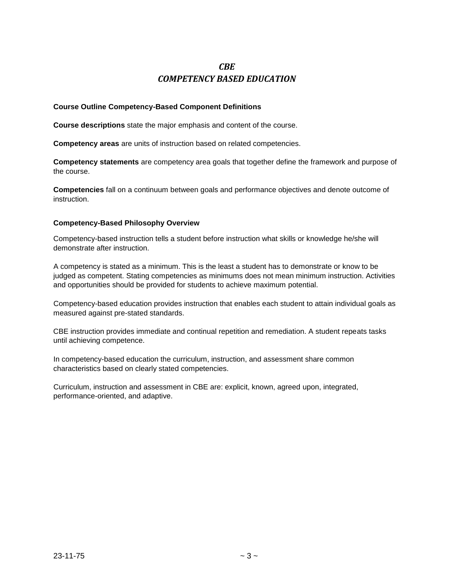## *CBE COMPETENCY BASED EDUCATION*

#### **Course Outline Competency-Based Component Definitions**

**Course descriptions** state the major emphasis and content of the course.

**Competency areas** are units of instruction based on related competencies.

**Competency statements** are competency area goals that together define the framework and purpose of the course.

**Competencies** fall on a continuum between goals and performance objectives and denote outcome of instruction.

#### **Competency-Based Philosophy Overview**

Competency-based instruction tells a student before instruction what skills or knowledge he/she will demonstrate after instruction.

A competency is stated as a minimum. This is the least a student has to demonstrate or know to be judged as competent. Stating competencies as minimums does not mean minimum instruction. Activities and opportunities should be provided for students to achieve maximum potential.

Competency-based education provides instruction that enables each student to attain individual goals as measured against pre-stated standards.

CBE instruction provides immediate and continual repetition and remediation. A student repeats tasks until achieving competence.

In competency-based education the curriculum, instruction, and assessment share common characteristics based on clearly stated competencies.

Curriculum, instruction and assessment in CBE are: explicit, known, agreed upon, integrated, performance-oriented, and adaptive.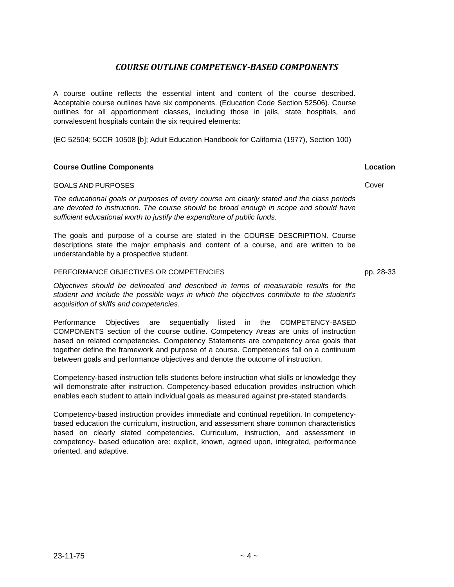## *COURSE OUTLINE COMPETENCY-BASED COMPONENTS*

A course outline reflects the essential intent and content of the course described. Acceptable course outlines have six components. (Education Code Section 52506). Course outlines for all apportionment classes, including those in jails, state hospitals, and convalescent hospitals contain the six required elements:

(EC 52504; 5CCR 10508 [b]; Adult Education Handbook for California (1977), Section 100)

#### **Course Outline Components**

#### GOALS AND PURPOSES

*The educational goals or purposes of every course are clearly stated and the class periods are devoted to instruction. The course should be broad enough in scope and should have sufficient educational worth to justify the expenditure of public funds.*

The goals and purpose of a course are stated in the COURSE DESCRIPTION. Course descriptions state the major emphasis and content of a course, and are written to be understandable by a prospective student.

#### PERFORMANCE OBJECTIVES OR COMPETENCIES

*Objectives should be delineated and described in terms of measurable results for the student and include the possible ways in which the objectives contribute to the student's acquisition of skiffs and competencies.*

Performance Objectives are sequentially listed in the COMPETENCY-BASED COMPONENTS section of the course outline. Competency Areas are units of instruction based on related competencies. Competency Statements are competency area goals that together define the framework and purpose of a course. Competencies fall on a continuum between goals and performance objectives and denote the outcome of instruction.

Competency-based instruction tells students before instruction what skills or knowledge they will demonstrate after instruction. Competency-based education provides instruction which enables each student to attain individual goals as measured against pre-stated standards.

Competency-based instruction provides immediate and continual repetition. In competencybased education the curriculum, instruction, and assessment share common characteristics based on clearly stated competencies. Curriculum, instruction, and assessment in competency- based education are: explicit, known, agreed upon, integrated, performance oriented, and adaptive.

pp. 28-33

**Location**

Cover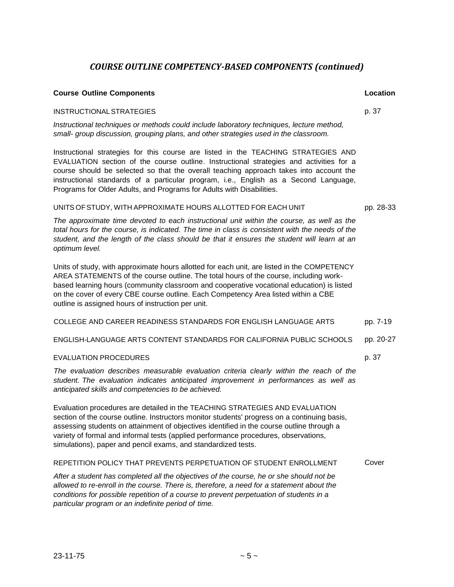## *COURSE OUTLINE COMPETENCY-BASED COMPONENTS (continued)*

#### **Course Outline Components**

#### INSTRUCTIONALSTRATEGIES

*Instructional techniques or methods could include laboratory techniques, lecture method, small- group discussion, grouping plans, and other strategies used in the classroom.*

Instructional strategies for this course are listed in the TEACHING STRATEGIES AND EVALUATION section of the course outline. Instructional strategies and activities for a course should be selected so that the overall teaching approach takes into account the instructional standards of a particular program, i.e., English as a Second Language, Programs for Older Adults, and Programs for Adults with Disabilities.

#### UNITS OFSTUDY, WITH APPROXIMATE HOURS ALLOTTED FOR EACH UNIT

*The approximate time devoted to each instructional unit within the course, as well as the total hours for the course, is indicated. The time in class is consistent with the needs of the student, and the length of the class should be that it ensures the student will learn at an optimum level.*

Units of study, with approximate hours allotted for each unit, are listed in the COMPETENCY AREA STATEMENTS of the course outline. The total hours of the course, including workbased learning hours (community classroom and cooperative vocational education) is listed on the cover of every CBE course outline. Each Competency Area listed within a CBE outline is assigned hours of instruction per unit.

#### COLLEGE AND CAREER READINESS STANDARDS FOR ENGLISH LANGUAGE ARTS pp. 7-19

ENGLISH-LANGUAGE ARTS CONTENT STANDARDS FOR CALIFORNIA PUBLIC SCHOOLS pp. 20-27

#### EVALUATION PROCEDURES

*The evaluation describes measurable evaluation criteria clearly within the reach of the student. The evaluation indicates anticipated improvement in performances as well as anticipated skills and competencies to be achieved.*

Evaluation procedures are detailed in the TEACHING STRATEGIES AND EVALUATION section of the course outline. Instructors monitor students' progress on a continuing basis, assessing students on attainment of objectives identified in the course outline through a variety of formal and informal tests (applied performance procedures, observations, simulations), paper and pencil exams, and standardized tests.

#### REPETITION POLICY THAT PREVENTS PERPETUATION OF STUDENT ENROLLMENT Cover

*After a student has completed all the objectives of the course, he or she should not be allowed to re-enroll in the course. There is, therefore, a need for a statement about the conditions for possible repetition of a course to prevent perpetuation of students in a particular program or an indefinite period of time.*

**Location**

pp. 28-33

p. 37

p. 37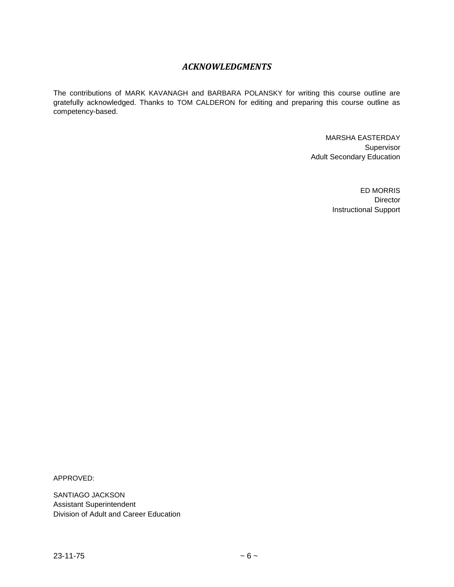## *ACKNOWLEDGMENTS*

The contributions of MARK KAVANAGH and BARBARA POLANSKY for writing this course outline are gratefully acknowledged. Thanks to TOM CALDERON for editing and preparing this course outline as competency-based.

> MARSHA EASTERDAY Supervisor Adult Secondary Education

> > ED MORRIS Director Instructional Support

APPROVED:

SANTIAGO JACKSON Assistant Superintendent Division of Adult and Career Education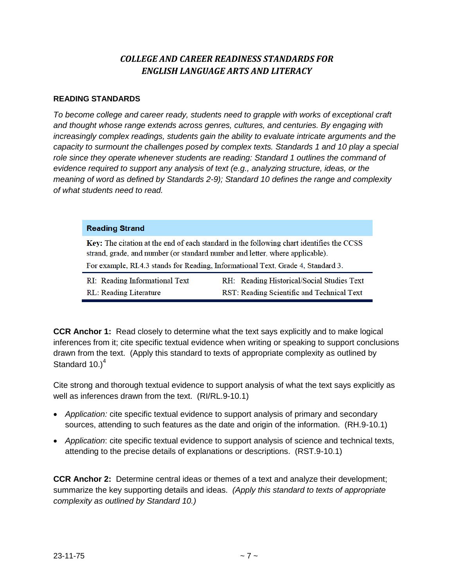#### **READING STANDARDS**

*To become college and career ready, students need to grapple with works of exceptional craft and thought whose range extends across genres, cultures, and centuries. By engaging with increasingly complex readings, students gain the ability to evaluate intricate arguments and the capacity to surmount the challenges posed by complex texts. Standards 1 and 10 play a special role since they operate whenever students are reading: Standard 1 outlines the command of evidence required to support any analysis of text (e.g., analyzing structure, ideas, or the meaning of word as defined by Standards 2-9); Standard 10 defines the range and complexity of what students need to read.* 

#### **Reading Strand**

Key: The citation at the end of each standard in the following chart identifies the CCSS strand, grade, and number (or standard number and letter, where applicable).

For example, RI.4.3 stands for Reading, Informational Text, Grade 4, Standard 3.

| RI: Reading Informational Text | RH: Reading Historical/Social Studies Text |
|--------------------------------|--------------------------------------------|
| <b>RL:</b> Reading Literature  | RST: Reading Scientific and Technical Text |

**CCR Anchor 1:** Read closely to determine what the text says explicitly and to make logical inferences from it; cite specific textual evidence when writing or speaking to support conclusions drawn from the text. (Apply this standard to texts of appropriate complexity as outlined by Standard  $10.1<sup>4</sup>$ 

Cite strong and thorough textual evidence to support analysis of what the text says explicitly as well as inferences drawn from the text. (RI/RL.9-10.1)

- *Application:* cite specific textual evidence to support analysis of primary and secondary sources, attending to such features as the date and origin of the information. (RH.9-10.1)
- *Application*: cite specific textual evidence to support analysis of science and technical texts, attending to the precise details of explanations or descriptions. (RST.9-10.1)

**CCR Anchor 2:** Determine central ideas or themes of a text and analyze their development; summarize the key supporting details and ideas. *(Apply this standard to texts of appropriate complexity as outlined by Standard 10.)*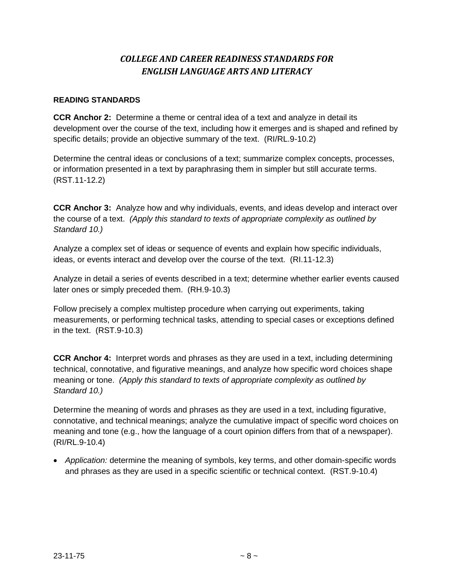## **READING STANDARDS**

**CCR Anchor 2:** Determine a theme or central idea of a text and analyze in detail its development over the course of the text, including how it emerges and is shaped and refined by specific details; provide an objective summary of the text. (RI/RL.9-10.2)

Determine the central ideas or conclusions of a text; summarize complex concepts, processes, or information presented in a text by paraphrasing them in simpler but still accurate terms. (RST.11-12.2)

**CCR Anchor 3:** Analyze how and why individuals, events, and ideas develop and interact over the course of a text. *(Apply this standard to texts of appropriate complexity as outlined by Standard 10.)* 

Analyze a complex set of ideas or sequence of events and explain how specific individuals, ideas, or events interact and develop over the course of the text. (RI.11-12.3)

Analyze in detail a series of events described in a text; determine whether earlier events caused later ones or simply preceded them. (RH.9-10.3)

Follow precisely a complex multistep procedure when carrying out experiments, taking measurements, or performing technical tasks, attending to special cases or exceptions defined in the text. (RST.9-10.3)

**CCR Anchor 4:** Interpret words and phrases as they are used in a text, including determining technical, connotative, and figurative meanings, and analyze how specific word choices shape meaning or tone. *(Apply this standard to texts of appropriate complexity as outlined by Standard 10.)*

Determine the meaning of words and phrases as they are used in a text, including figurative, connotative, and technical meanings; analyze the cumulative impact of specific word choices on meaning and tone (e.g., how the language of a court opinion differs from that of a newspaper). (RI/RL.9-10.4)

 *Application:* determine the meaning of symbols, key terms, and other domain-specific words and phrases as they are used in a specific scientific or technical context. (RST.9-10.4)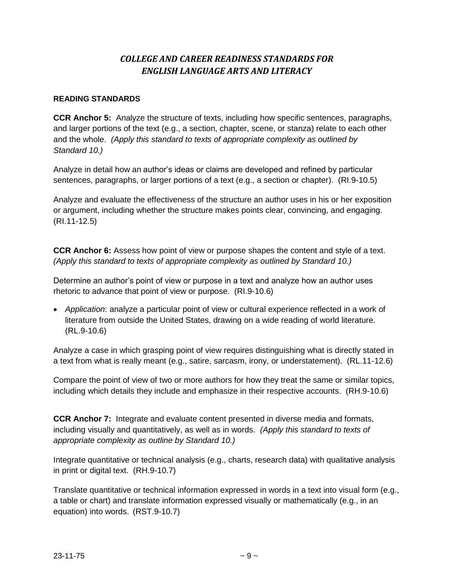#### **READING STANDARDS**

**CCR Anchor 5:** Analyze the structure of texts, including how specific sentences, paragraphs, and larger portions of the text (e.g., a section, chapter, scene, or stanza) relate to each other and the whole. *(Apply this standard to texts of appropriate complexity as outlined by Standard 10.)* 

Analyze in detail how an author's ideas or claims are developed and refined by particular sentences, paragraphs, or larger portions of a text (e.g., a section or chapter). (RI.9-10.5)

Analyze and evaluate the effectiveness of the structure an author uses in his or her exposition or argument, including whether the structure makes points clear, convincing, and engaging. (RI.11-12.5)

**CCR Anchor 6:** Assess how point of view or purpose shapes the content and style of a text. *(Apply this standard to texts of appropriate complexity as outlined by Standard 10.)* 

Determine an author's point of view or purpose in a text and analyze how an author uses rhetoric to advance that point of view or purpose. (RI.9-10.6)

 *Application*: analyze a particular point of view or cultural experience reflected in a work of literature from outside the United States, drawing on a wide reading of world literature. (RL.9-10.6)

Analyze a case in which grasping point of view requires distinguishing what is directly stated in a text from what is really meant (e.g., satire, sarcasm, irony, or understatement). (RL.11-12.6)

Compare the point of view of two or more authors for how they treat the same or similar topics, including which details they include and emphasize in their respective accounts. (RH.9-10.6)

**CCR Anchor 7:** Integrate and evaluate content presented in diverse media and formats, including visually and quantitatively, as well as in words. *(Apply this standard to texts of appropriate complexity as outline by Standard 10.)*

Integrate quantitative or technical analysis (e.g., charts, research data) with qualitative analysis in print or digital text. (RH.9-10.7)

Translate quantitative or technical information expressed in words in a text into visual form (e.g., a table or chart) and translate information expressed visually or mathematically (e.g., in an equation) into words. (RST.9-10.7)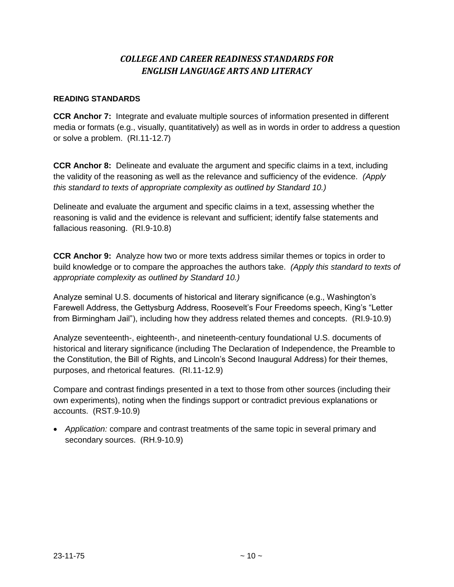#### **READING STANDARDS**

**CCR Anchor 7:** Integrate and evaluate multiple sources of information presented in different media or formats (e.g., visually, quantitatively) as well as in words in order to address a question or solve a problem. (RI.11-12.7)

**CCR Anchor 8:** Delineate and evaluate the argument and specific claims in a text, including the validity of the reasoning as well as the relevance and sufficiency of the evidence. *(Apply this standard to texts of appropriate complexity as outlined by Standard 10.)*

Delineate and evaluate the argument and specific claims in a text, assessing whether the reasoning is valid and the evidence is relevant and sufficient; identify false statements and fallacious reasoning. (RI.9-10.8)

**CCR Anchor 9:** Analyze how two or more texts address similar themes or topics in order to build knowledge or to compare the approaches the authors take. *(Apply this standard to texts of appropriate complexity as outlined by Standard 10.)* 

Analyze seminal U.S. documents of historical and literary significance (e.g., Washington's Farewell Address, the Gettysburg Address, Roosevelt's Four Freedoms speech, King's "Letter from Birmingham Jail"), including how they address related themes and concepts. (RI.9-10.9)

Analyze seventeenth-, eighteenth-, and nineteenth-century foundational U.S. documents of historical and literary significance (including The Declaration of Independence, the Preamble to the Constitution, the Bill of Rights, and Lincoln's Second Inaugural Address) for their themes, purposes, and rhetorical features. (RI.11-12.9)

Compare and contrast findings presented in a text to those from other sources (including their own experiments), noting when the findings support or contradict previous explanations or accounts. (RST.9-10.9)

 *Application:* compare and contrast treatments of the same topic in several primary and secondary sources. (RH.9-10.9)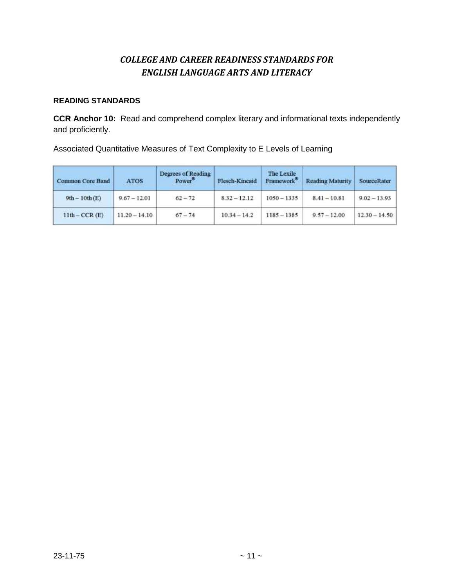#### **READING STANDARDS**

**CCR Anchor 10:** Read and comprehend complex literary and informational texts independently and proficiently.

Associated Quantitative Measures of Text Complexity to E Levels of Learning

| <b>Common Core Band</b> | <b>ATOS</b>     | Degrees of Reading<br>Power | Flesch-Kincaid | The Lexile<br>Framework <sup>*</sup> | <b>Reading Maturity</b> | SourceRater     |
|-------------------------|-----------------|-----------------------------|----------------|--------------------------------------|-------------------------|-----------------|
| $9th - 10th(E)$         | $9.67 - 12.01$  | $62 - 72$                   | $8.32 - 12.12$ | $1050 - 1335$                        | $8.41 - 10.81$          | $9.02 - 13.93$  |
| $11th$ – CCR $(E)$      | $11.20 - 14.10$ | $67 - 74$                   | $10.34 - 14.2$ | $1185 - 1385$                        | $9.57 - 12.00$          | $12.30 - 14.50$ |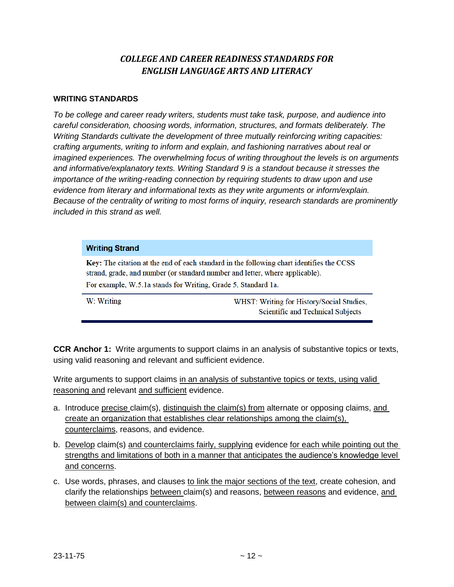#### **WRITING STANDARDS**

*To be college and career ready writers, students must take task, purpose, and audience into careful consideration, choosing words, information, structures, and formats deliberately. The Writing Standards cultivate the development of three mutually reinforcing writing capacities: crafting arguments, writing to inform and explain, and fashioning narratives about real or imagined experiences. The overwhelming focus of writing throughout the levels is on arguments and informative/explanatory texts. Writing Standard 9 is a standout because it stresses the importance of the writing-reading connection by requiring students to draw upon and use evidence from literary and informational texts as they write arguments or inform/explain. Because of the centrality of writing to most forms of inquiry, research standards are prominently included in this strand as well.*

#### **Writing Strand**

Key: The citation at the end of each standard in the following chart identifies the CCSS strand, grade, and number (or standard number and letter, where applicable).

For example, W.5.1a stands for Writing, Grade 5, Standard 1a.

W: Writing

WHST: Writing for History/Social Studies, Scientific and Technical Subjects

**CCR Anchor 1:** Write arguments to support claims in an analysis of substantive topics or texts, using valid reasoning and relevant and sufficient evidence.

Write arguments to support claims in an analysis of substantive topics or texts, using valid reasoning and relevant and sufficient evidence.

- a. Introduce precise claim(s), distinguish the claim(s) from alternate or opposing claims, and create an organization that establishes clear relationships among the claim(s), counterclaims, reasons, and evidence.
- b. Develop claim(s) and counterclaims fairly, supplying evidence for each while pointing out the strengths and limitations of both in a manner that anticipates the audience's knowledge level and concerns.
- c. Use words, phrases, and clauses to link the major sections of the text, create cohesion, and clarify the relationships between claim(s) and reasons, between reasons and evidence, and between claim(s) and counterclaims.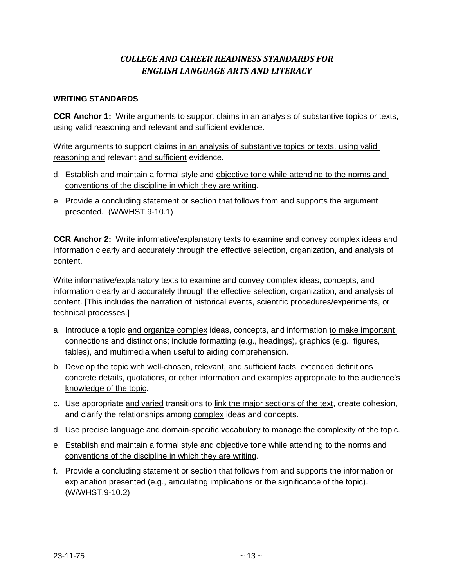#### **WRITING STANDARDS**

**CCR Anchor 1:** Write arguments to support claims in an analysis of substantive topics or texts, using valid reasoning and relevant and sufficient evidence.

Write arguments to support claims in an analysis of substantive topics or texts, using valid reasoning and relevant and sufficient evidence.

- d. Establish and maintain a formal style and objective tone while attending to the norms and conventions of the discipline in which they are writing.
- e. Provide a concluding statement or section that follows from and supports the argument presented. (W/WHST.9-10.1)

**CCR Anchor 2:** Write informative/explanatory texts to examine and convey complex ideas and information clearly and accurately through the effective selection, organization, and analysis of content.

Write informative/explanatory texts to examine and convey complex ideas, concepts, and information clearly and accurately through the effective selection, organization, and analysis of content. [This includes the narration of historical events, scientific procedures/experiments, or technical processes.]

- a. Introduce a topic and organize complex ideas, concepts, and information to make important connections and distinctions; include formatting (e.g., headings), graphics (e.g., figures, tables), and multimedia when useful to aiding comprehension.
- b. Develop the topic with well-chosen, relevant, and sufficient facts, extended definitions concrete details, quotations, or other information and examples appropriate to the audience's knowledge of the topic.
- c. Use appropriate and varied transitions to link the major sections of the text, create cohesion, and clarify the relationships among complex ideas and concepts.
- d. Use precise language and domain-specific vocabulary to manage the complexity of the topic.
- e. Establish and maintain a formal style and objective tone while attending to the norms and conventions of the discipline in which they are writing.
- f. Provide a concluding statement or section that follows from and supports the information or explanation presented (e.g., articulating implications or the significance of the topic). (W/WHST.9-10.2)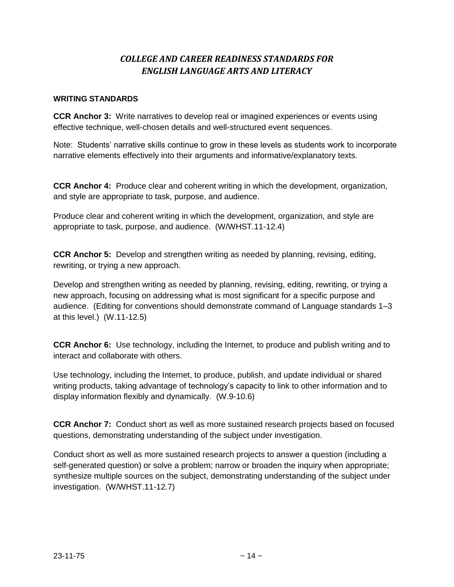#### **WRITING STANDARDS**

**CCR Anchor 3:** Write narratives to develop real or imagined experiences or events using effective technique, well-chosen details and well-structured event sequences.

Note: Students' narrative skills continue to grow in these levels as students work to incorporate narrative elements effectively into their arguments and informative/explanatory texts.

**CCR Anchor 4:** Produce clear and coherent writing in which the development, organization, and style are appropriate to task, purpose, and audience.

Produce clear and coherent writing in which the development, organization, and style are appropriate to task, purpose, and audience. (W/WHST.11-12.4)

**CCR Anchor 5:** Develop and strengthen writing as needed by planning, revising, editing, rewriting, or trying a new approach.

Develop and strengthen writing as needed by planning, revising, editing, rewriting, or trying a new approach, focusing on addressing what is most significant for a specific purpose and audience. (Editing for conventions should demonstrate command of Language standards 1–3 at this level.) (W.11-12.5)

**CCR Anchor 6:** Use technology, including the Internet, to produce and publish writing and to interact and collaborate with others.

Use technology, including the Internet, to produce, publish, and update individual or shared writing products, taking advantage of technology's capacity to link to other information and to display information flexibly and dynamically. (W.9-10.6)

**CCR Anchor 7:** Conduct short as well as more sustained research projects based on focused questions, demonstrating understanding of the subject under investigation.

Conduct short as well as more sustained research projects to answer a question (including a self-generated question) or solve a problem; narrow or broaden the inquiry when appropriate; synthesize multiple sources on the subject, demonstrating understanding of the subject under investigation. (W/WHST.11-12.7)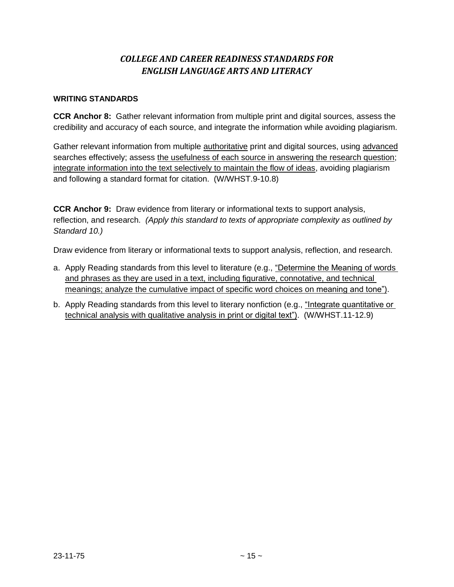#### **WRITING STANDARDS**

**CCR Anchor 8:** Gather relevant information from multiple print and digital sources, assess the credibility and accuracy of each source, and integrate the information while avoiding plagiarism.

Gather relevant information from multiple authoritative print and digital sources, using advanced searches effectively; assess the usefulness of each source in answering the research question; integrate information into the text selectively to maintain the flow of ideas, avoiding plagiarism and following a standard format for citation. (W/WHST.9-10.8)

**CCR Anchor 9:** Draw evidence from literary or informational texts to support analysis, reflection, and research. *(Apply this standard to texts of appropriate complexity as outlined by Standard 10.)* 

Draw evidence from literary or informational texts to support analysis, reflection, and research.

- a. Apply Reading standards from this level to literature (e.g., "Determine the Meaning of words and phrases as they are used in a text, including figurative, connotative, and technical meanings; analyze the cumulative impact of specific word choices on meaning and tone").
- b. Apply Reading standards from this level to literary nonfiction (e.g., "Integrate quantitative or technical analysis with qualitative analysis in print or digital text"). (W/WHST.11-12.9)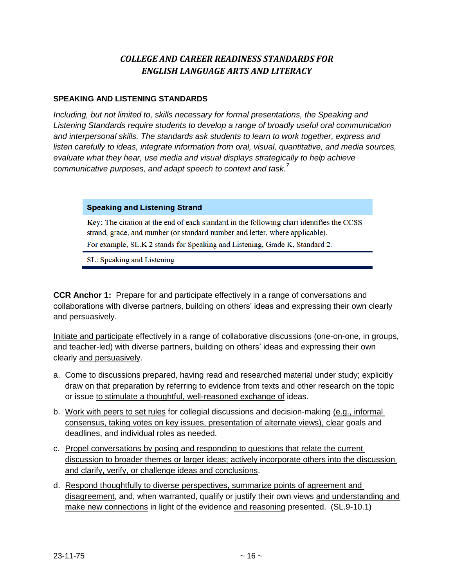#### **SPEAKING AND LISTENING STANDARDS**

*Including, but not limited to, skills necessary for formal presentations, the Speaking and Listening Standards require students to develop a range of broadly useful oral communication and interpersonal skills. The standards ask students to learn to work together, express and listen carefully to ideas, integrate information from oral, visual, quantitative, and media sources, evaluate what they hear, use media and visual displays strategically to help achieve communicative purposes, and adapt speech to context and task.<sup>7</sup>*

#### **Speaking and Listening Strand**

Key: The citation at the end of each standard in the following chart identifies the CCSS strand, grade, and number (or standard number and letter, where applicable).

For example, SL.K.2 stands for Speaking and Listening, Grade K, Standard 2.

SL: Speaking and Listening

**CCR Anchor 1:** Prepare for and participate effectively in a range of conversations and collaborations with diverse partners, building on others' ideas and expressing their own clearly and persuasively.

Initiate and participate effectively in a range of collaborative discussions (one-on-one, in groups, and teacher-led) with diverse partners, building on others' ideas and expressing their own clearly and persuasively.

- a. Come to discussions prepared, having read and researched material under study; explicitly draw on that preparation by referring to evidence from texts and other research on the topic or issue to stimulate a thoughtful, well-reasoned exchange of ideas.
- b. Work with peers to set rules for collegial discussions and decision-making (e.g., informal consensus, taking votes on key issues, presentation of alternate views), clear goals and deadlines, and individual roles as needed.
- c. Propel conversations by posing and responding to questions that relate the current discussion to broader themes or larger ideas; actively incorporate others into the discussion and clarify, verify, or challenge ideas and conclusions.
- d. Respond thoughtfully to diverse perspectives, summarize points of agreement and disagreement, and, when warranted, qualify or justify their own views and understanding and make new connections in light of the evidence and reasoning presented. (SL.9-10.1)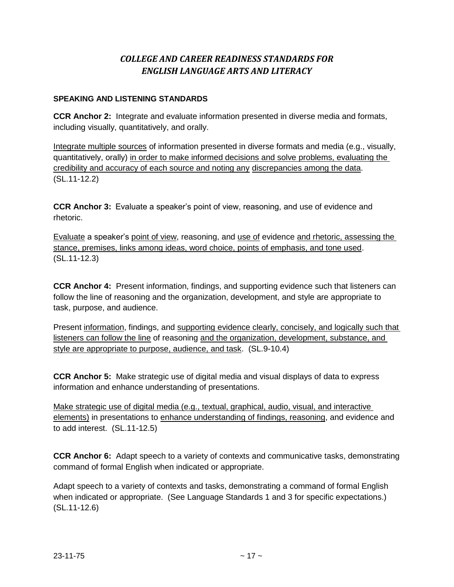#### **SPEAKING AND LISTENING STANDARDS**

**CCR Anchor 2:** Integrate and evaluate information presented in diverse media and formats, including visually, quantitatively, and orally.

Integrate multiple sources of information presented in diverse formats and media (e.g., visually, quantitatively, orally) in order to make informed decisions and solve problems, evaluating the credibility and accuracy of each source and noting any discrepancies among the data. (SL.11-12.2)

**CCR Anchor 3:** Evaluate a speaker's point of view, reasoning, and use of evidence and rhetoric.

Evaluate a speaker's point of view, reasoning, and use of evidence and rhetoric, assessing the stance, premises, links among ideas, word choice, points of emphasis, and tone used. (SL.11-12.3)

**CCR Anchor 4:** Present information, findings, and supporting evidence such that listeners can follow the line of reasoning and the organization, development, and style are appropriate to task, purpose, and audience.

Present information, findings, and supporting evidence clearly, concisely, and logically such that listeners can follow the line of reasoning and the organization, development, substance, and style are appropriate to purpose, audience, and task. (SL.9-10.4)

**CCR Anchor 5:** Make strategic use of digital media and visual displays of data to express information and enhance understanding of presentations.

Make strategic use of digital media (e.g., textual, graphical, audio, visual, and interactive elements) in presentations to enhance understanding of findings, reasoning, and evidence and to add interest. (SL.11-12.5)

**CCR Anchor 6:** Adapt speech to a variety of contexts and communicative tasks, demonstrating command of formal English when indicated or appropriate.

Adapt speech to a variety of contexts and tasks, demonstrating a command of formal English when indicated or appropriate. (See Language Standards 1 and 3 for specific expectations.) (SL.11-12.6)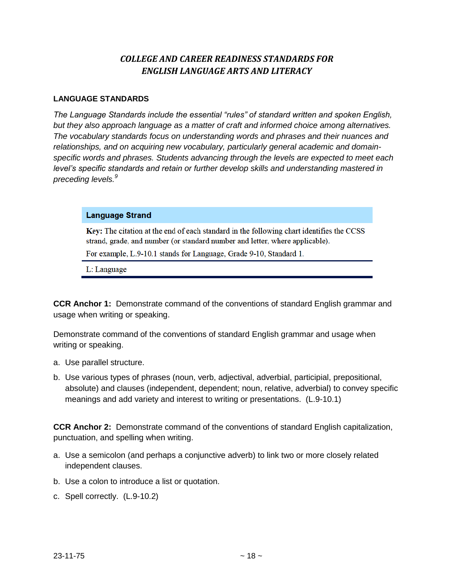#### **LANGUAGE STANDARDS**

*The Language Standards include the essential "rules" of standard written and spoken English, but they also approach language as a matter of craft and informed choice among alternatives. The vocabulary standards focus on understanding words and phrases and their nuances and relationships, and on acquiring new vocabulary, particularly general academic and domainspecific words and phrases. Students advancing through the levels are expected to meet each level's specific standards and retain or further develop skills and understanding mastered in preceding levels.<sup>9</sup>*

#### **Language Strand**

Key: The citation at the end of each standard in the following chart identifies the CCSS strand, grade, and number (or standard number and letter, where applicable).

For example, L.9-10.1 stands for Language, Grade 9-10, Standard 1.

L: Language

**CCR Anchor 1:** Demonstrate command of the conventions of standard English grammar and usage when writing or speaking.

Demonstrate command of the conventions of standard English grammar and usage when writing or speaking.

- a. Use parallel structure.
- b. Use various types of phrases (noun, verb, adjectival, adverbial, participial, prepositional, absolute) and clauses (independent, dependent; noun, relative, adverbial) to convey specific meanings and add variety and interest to writing or presentations. (L.9-10.1)

**CCR Anchor 2:** Demonstrate command of the conventions of standard English capitalization, punctuation, and spelling when writing.

- a. Use a semicolon (and perhaps a conjunctive adverb) to link two or more closely related independent clauses.
- b. Use a colon to introduce a list or quotation.
- c. Spell correctly. (L.9-10.2)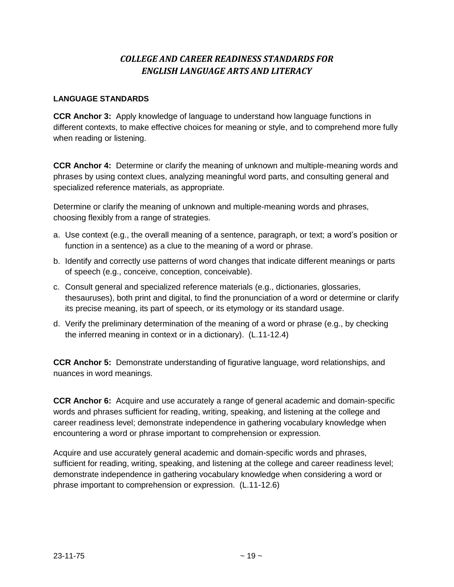#### **LANGUAGE STANDARDS**

**CCR Anchor 3:** Apply knowledge of language to understand how language functions in different contexts, to make effective choices for meaning or style, and to comprehend more fully when reading or listening.

**CCR Anchor 4:** Determine or clarify the meaning of unknown and multiple-meaning words and phrases by using context clues, analyzing meaningful word parts, and consulting general and specialized reference materials, as appropriate.

Determine or clarify the meaning of unknown and multiple-meaning words and phrases, choosing flexibly from a range of strategies.

- a. Use context (e.g., the overall meaning of a sentence, paragraph, or text; a word's position or function in a sentence) as a clue to the meaning of a word or phrase.
- b. Identify and correctly use patterns of word changes that indicate different meanings or parts of speech (e.g., conceive, conception, conceivable).
- c. Consult general and specialized reference materials (e.g., dictionaries, glossaries, thesauruses), both print and digital, to find the pronunciation of a word or determine or clarify its precise meaning, its part of speech, or its etymology or its standard usage.
- d. Verify the preliminary determination of the meaning of a word or phrase (e.g., by checking the inferred meaning in context or in a dictionary). (L.11-12.4)

**CCR Anchor 5:** Demonstrate understanding of figurative language, word relationships, and nuances in word meanings.

**CCR Anchor 6:** Acquire and use accurately a range of general academic and domain-specific words and phrases sufficient for reading, writing, speaking, and listening at the college and career readiness level; demonstrate independence in gathering vocabulary knowledge when encountering a word or phrase important to comprehension or expression.

Acquire and use accurately general academic and domain-specific words and phrases, sufficient for reading, writing, speaking, and listening at the college and career readiness level; demonstrate independence in gathering vocabulary knowledge when considering a word or phrase important to comprehension or expression. (L.11-12.6)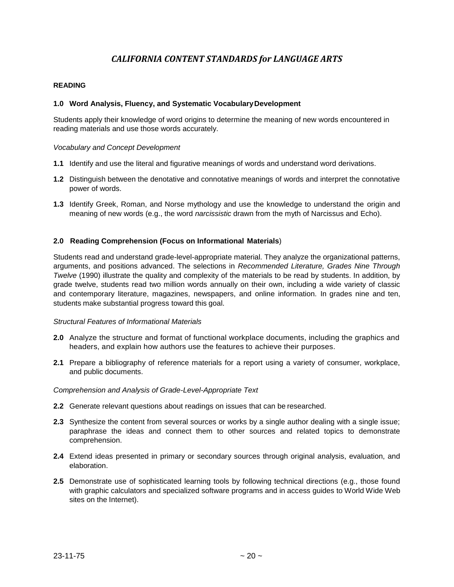## *CALIFORNIA CONTENT STANDARDS for LANGUAGE ARTS*

#### **READING**

#### **1.0 Word Analysis, Fluency, and Systematic VocabularyDevelopment**

Students apply their knowledge of word origins to determine the meaning of new words encountered in reading materials and use those words accurately.

#### *Vocabulary and Concept Development*

- **1.1** Identify and use the literal and figurative meanings of words and understand word derivations.
- **1.2** Distinguish between the denotative and connotative meanings of words and interpret the connotative power of words.
- **1.3** Identify Greek, Roman, and Norse mythology and use the knowledge to understand the origin and meaning of new words (e.g., the word *narcissistic* drawn from the myth of Narcissus and Echo).

#### **2.0 Reading Comprehension (Focus on Informational Materials**)

Students read and understand grade-level-appropriate material. They analyze the organizational patterns, arguments, and positions advanced. The selections in *Recommended Literature, Grades Nine Through Twelve* (1990) illustrate the quality and complexity of the materials to be read by students. In addition, by grade twelve, students read two million words annually on their own, including a wide variety of classic and contemporary literature, magazines, newspapers, and online information. In grades nine and ten, students make substantial progress toward this goal.

#### *Structural Features of Informational Materials*

- **2.0** Analyze the structure and format of functional workplace documents, including the graphics and headers, and explain how authors use the features to achieve their purposes.
- **2.1** Prepare a bibliography of reference materials for a report using a variety of consumer, workplace, and public documents.

#### *Comprehension and Analysis of Grade-Level-Appropriate Text*

- **2.2** Generate relevant questions about readings on issues that can be researched.
- **2.3** Synthesize the content from several sources or works by a single author dealing with a single issue; paraphrase the ideas and connect them to other sources and related topics to demonstrate comprehension.
- **2.4** Extend ideas presented in primary or secondary sources through original analysis, evaluation, and elaboration.
- **2.5** Demonstrate use of sophisticated learning tools by following technical directions (e.g., those found with graphic calculators and specialized software programs and in access guides to World Wide Web sites on the Internet).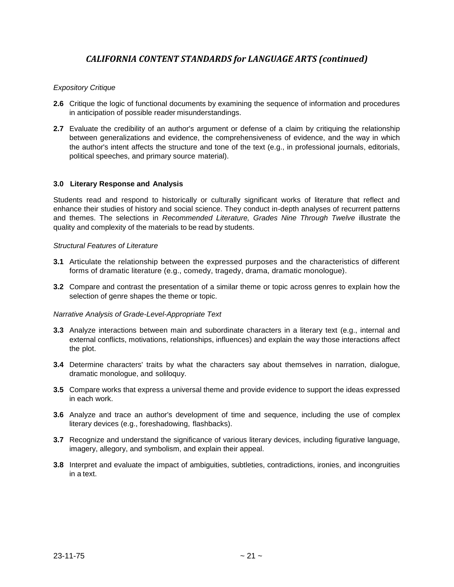#### *Expository Critique*

- **2.6** Critique the logic of functional documents by examining the sequence of information and procedures in anticipation of possible reader misunderstandings.
- **2.7** Evaluate the credibility of an author's argument or defense of a claim by critiquing the relationship between generalizations and evidence, the comprehensiveness of evidence, and the way in which the author's intent affects the structure and tone of the text (e.g., in professional journals, editorials, political speeches, and primary source material).

#### **3.0 Literary Response and Analysis**

Students read and respond to historically or culturally significant works of literature that reflect and enhance their studies of history and social science. They conduct in-depth analyses of recurrent patterns and themes. The selections in *Recommended Literature, Grades Nine Through Twelve* illustrate the quality and complexity of the materials to be read by students.

#### *Structural Features of Literature*

- **3.1** Articulate the relationship between the expressed purposes and the characteristics of different forms of dramatic literature (e.g., comedy, tragedy, drama, dramatic monologue).
- **3.2** Compare and contrast the presentation of a similar theme or topic across genres to explain how the selection of genre shapes the theme or topic.

#### *Narrative Analysis of Grade-Level-Appropriate Text*

- **3.3** Analyze interactions between main and subordinate characters in a literary text (e.g., internal and external conflicts, motivations, relationships, influences) and explain the way those interactions affect the plot.
- **3.4** Determine characters' traits by what the characters say about themselves in narration, dialogue, dramatic monologue, and soliloquy.
- **3.5** Compare works that express a universal theme and provide evidence to support the ideas expressed in each work.
- **3.6** Analyze and trace an author's development of time and sequence, including the use of complex literary devices (e.g., foreshadowing, flashbacks).
- **3.7** Recognize and understand the significance of various literary devices, including figurative language, imagery, allegory, and symbolism, and explain their appeal.
- **3.8** Interpret and evaluate the impact of ambiguities, subtleties, contradictions, ironies, and incongruities in a text.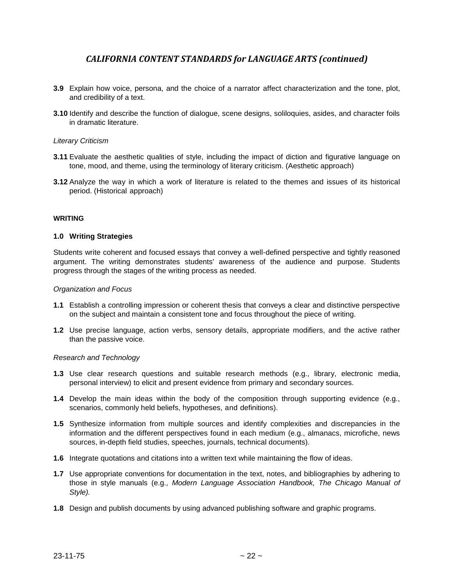- **3.9** Explain how voice, persona, and the choice of a narrator affect characterization and the tone, plot, and credibility of a text.
- **3.10** Identify and describe the function of dialogue, scene designs, soliloquies, asides, and character foils in dramatic literature.

#### *Literary Criticism*

- **3.11** Evaluate the aesthetic qualities of style, including the impact of diction and figurative language on tone, mood, and theme, using the terminology of literary criticism. (Aesthetic approach)
- **3.12** Analyze the way in which a work of literature is related to the themes and issues of its historical period. (Historical approach)

#### **WRITING**

#### **1.0 Writing Strategies**

Students write coherent and focused essays that convey a well-defined perspective and tightly reasoned argument. The writing demonstrates students' awareness of the audience and purpose. Students progress through the stages of the writing process as needed.

#### *Organization and Focus*

- **1.1** Establish a controlling impression or coherent thesis that conveys a clear and distinctive perspective on the subject and maintain a consistent tone and focus throughout the piece of writing.
- **1.2** Use precise language, action verbs, sensory details, appropriate modifiers, and the active rather than the passive voice.

#### *Research and Technology*

- **1.3** Use clear research questions and suitable research methods (e.g., library, electronic media, personal interview) to elicit and present evidence from primary and secondary sources.
- **1.4** Develop the main ideas within the body of the composition through supporting evidence (e.g., scenarios, commonly held beliefs, hypotheses, and definitions).
- **1.5** Synthesize information from multiple sources and identify complexities and discrepancies in the information and the different perspectives found in each medium (e.g., almanacs, microfiche, news sources, in-depth field studies, speeches, journals, technical documents).
- **1.6** Integrate quotations and citations into a written text while maintaining the flow of ideas.
- **1.7** Use appropriate conventions for documentation in the text, notes, and bibliographies by adhering to those in style manuals (e.g., *Modern Language Association Handbook, The Chicago Manual of Style).*
- **1.8** Design and publish documents by using advanced publishing software and graphic programs.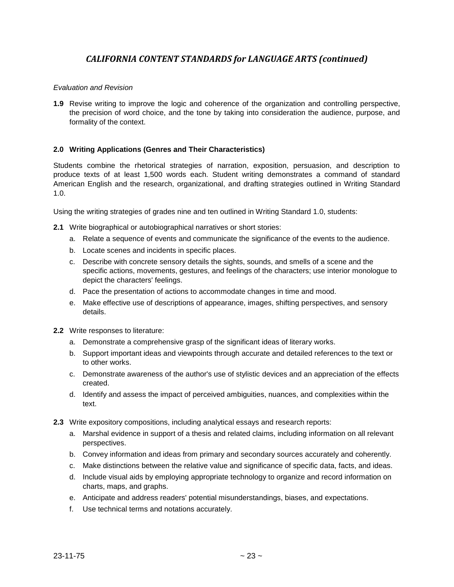#### *Evaluation and Revision*

**1.9** Revise writing to improve the logic and coherence of the organization and controlling perspective, the precision of word choice, and the tone by taking into consideration the audience, purpose, and formality of the context.

#### **2.0 Writing Applications (Genres and Their Characteristics)**

Students combine the rhetorical strategies of narration, exposition, persuasion, and description to produce texts of at least 1,500 words each. Student writing demonstrates a command of standard American English and the research, organizational, and drafting strategies outlined in Writing Standard 1.0.

Using the writing strategies of grades nine and ten outlined in Writing Standard 1.0, students:

**2.1** Write biographical or autobiographical narratives or short stories:

- a. Relate a sequence of events and communicate the significance of the events to the audience.
- b. Locate scenes and incidents in specific places.
- c. Describe with concrete sensory details the sights, sounds, and smells of a scene and the specific actions, movements, gestures, and feelings of the characters; use interior monologue to depict the characters' feelings.
- d. Pace the presentation of actions to accommodate changes in time and mood.
- e. Make effective use of descriptions of appearance, images, shifting perspectives, and sensory details.
- **2.2** Write responses to literature:
	- a. Demonstrate a comprehensive grasp of the significant ideas of literary works.
	- b. Support important ideas and viewpoints through accurate and detailed references to the text or to other works.
	- c. Demonstrate awareness of the author's use of stylistic devices and an appreciation of the effects created.
	- d. Identify and assess the impact of perceived ambiguities, nuances, and complexities within the text.
- **2.3** Write expository compositions, including analytical essays and research reports:
	- a. Marshal evidence in support of a thesis and related claims, including information on all relevant perspectives.
	- b. Convey information and ideas from primary and secondary sources accurately and coherently.
	- c. Make distinctions between the relative value and significance of specific data, facts, and ideas.
	- d. Include visual aids by employing appropriate technology to organize and record information on charts, maps, and graphs.
	- e. Anticipate and address readers' potential misunderstandings, biases, and expectations.
	- f. Use technical terms and notations accurately.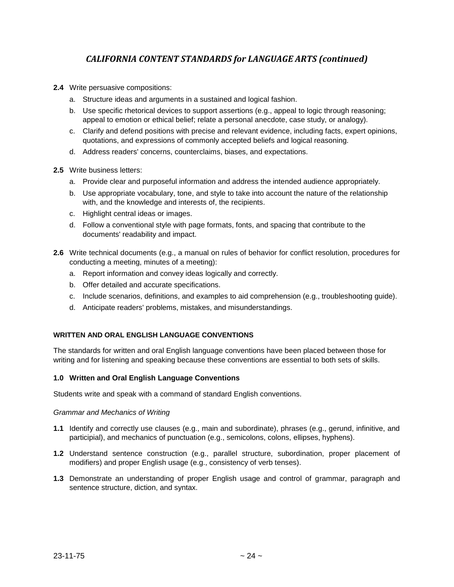- **2.4** Write persuasive compositions:
	- a. Structure ideas and arguments in a sustained and logical fashion.
	- b. Use specific rhetorical devices to support assertions (e.g., appeal to logic through reasoning; appeal to emotion or ethical belief; relate a personal anecdote, case study, or analogy).
	- c. Clarify and defend positions with precise and relevant evidence, including facts, expert opinions, quotations, and expressions of commonly accepted beliefs and logical reasoning.
	- d. Address readers' concerns, counterclaims, biases, and expectations.
- **2.5** Write business letters:
	- a. Provide clear and purposeful information and address the intended audience appropriately.
	- b. Use appropriate vocabulary, tone, and style to take into account the nature of the relationship with, and the knowledge and interests of, the recipients.
	- c. Highlight central ideas or images.
	- d. Follow a conventional style with page formats, fonts, and spacing that contribute to the documents' readability and impact.
- **2.6** Write technical documents (e.g., a manual on rules of behavior for conflict resolution, procedures for conducting a meeting, minutes of a meeting):
	- a. Report information and convey ideas logically and correctly.
	- b. Offer detailed and accurate specifications.
	- c. Include scenarios, definitions, and examples to aid comprehension (e.g., troubleshooting guide).
	- d. Anticipate readers' problems, mistakes, and misunderstandings.

#### **WRITTEN AND ORAL ENGLISH LANGUAGE CONVENTIONS**

The standards for written and oral English language conventions have been placed between those for writing and for listening and speaking because these conventions are essential to both sets of skills.

#### **1.0 Written and Oral English Language Conventions**

Students write and speak with a command of standard English conventions.

#### *Grammar and Mechanics of Writing*

- **1.1** Identify and correctly use clauses (e.g., main and subordinate), phrases (e.g., gerund, infinitive, and participial), and mechanics of punctuation (e.g., semicolons, colons, ellipses, hyphens).
- **1.2** Understand sentence construction (e.g., parallel structure, subordination, proper placement of modifiers) and proper English usage (e.g., consistency of verb tenses).
- **1.3** Demonstrate an understanding of proper English usage and control of grammar, paragraph and sentence structure, diction, and syntax.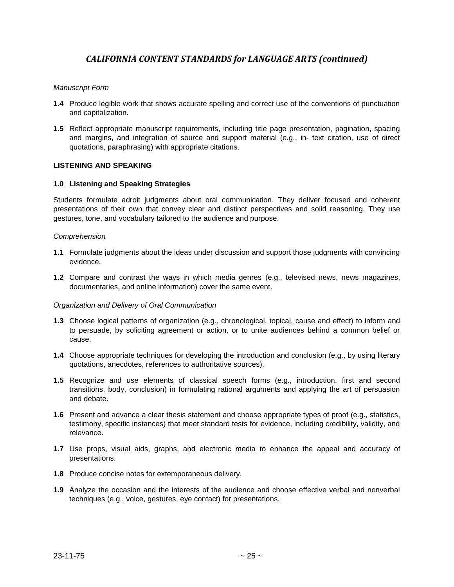#### *Manuscript Form*

- **1.4** Produce legible work that shows accurate spelling and correct use of the conventions of punctuation and capitalization.
- **1.5** Reflect appropriate manuscript requirements, including title page presentation, pagination, spacing and margins, and integration of source and support material (e.g., in- text citation, use of direct quotations, paraphrasing) with appropriate citations.

#### **LISTENING AND SPEAKING**

#### **1.0 Listening and Speaking Strategies**

Students formulate adroit judgments about oral communication. They deliver focused and coherent presentations of their own that convey clear and distinct perspectives and solid reasoning. They use gestures, tone, and vocabulary tailored to the audience and purpose.

#### *Comprehension*

- **1.1** Formulate judgments about the ideas under discussion and support those judgments with convincing evidence.
- **1.2** Compare and contrast the ways in which media genres (e.g., televised news, news magazines, documentaries, and online information) cover the same event.

#### *Organization and Delivery of Oral Communication*

- **1.3** Choose logical patterns of organization (e.g., chronological, topical, cause and effect) to inform and to persuade, by soliciting agreement or action, or to unite audiences behind a common belief or cause.
- **1.4** Choose appropriate techniques for developing the introduction and conclusion (e.g., by using literary quotations, anecdotes, references to authoritative sources).
- **1.5** Recognize and use elements of classical speech forms (e.g., introduction, first and second transitions, body, conclusion) in formulating rational arguments and applying the art of persuasion and debate.
- **1.6** Present and advance a clear thesis statement and choose appropriate types of proof (e.g., statistics, testimony, specific instances) that meet standard tests for evidence, including credibility, validity, and relevance.
- **1.7** Use props, visual aids, graphs, and electronic media to enhance the appeal and accuracy of presentations.
- **1.8** Produce concise notes for extemporaneous delivery.
- **1.9** Analyze the occasion and the interests of the audience and choose effective verbal and nonverbal techniques (e.g., voice, gestures, eye contact) for presentations.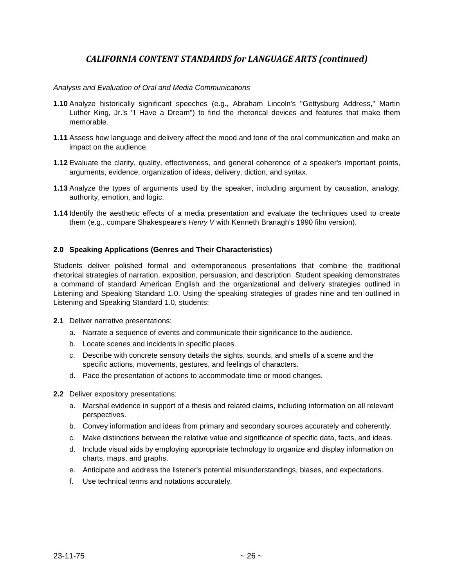#### *Analysis and Evaluation of Oral and Media Communications*

- **1.10** Analyze historically significant speeches (e.g., Abraham Lincoln's "Gettysburg Address," Martin Luther King, Jr.'s "I Have a Dream") to find the rhetorical devices and features that make them memorable.
- **1.11** Assess how language and delivery affect the mood and tone of the oral communication and make an impact on the audience.
- **1.12** Evaluate the clarity, quality, effectiveness, and general coherence of a speaker's important points, arguments, evidence, organization of ideas, delivery, diction, and syntax.
- **1.13** Analyze the types of arguments used by the speaker, including argument by causation, analogy, authority, emotion, and logic.
- **1.14** Identify the aesthetic effects of a media presentation and evaluate the techniques used to create them (e.g., compare Shakespeare's *Henry V* with Kenneth Branagh's 1990 film version).

#### **2.0 Speaking Applications (Genres and Their Characteristics)**

Students deliver polished formal and extemporaneous presentations that combine the traditional rhetorical strategies of narration, exposition, persuasion, and description. Student speaking demonstrates a command of standard American English and the organizational and delivery strategies outlined in Listening and Speaking Standard 1.0. Using the speaking strategies of grades nine and ten outlined in Listening and Speaking Standard 1.0, students:

- **2.1** Deliver narrative presentations:
	- a. Narrate a sequence of events and communicate their significance to the audience.
	- b. Locate scenes and incidents in specific places.
	- c. Describe with concrete sensory details the sights, sounds, and smells of a scene and the specific actions, movements, gestures, and feelings of characters.
	- d. Pace the presentation of actions to accommodate time or mood changes.
- **2.2** Deliver expository presentations:
	- a. Marshal evidence in support of a thesis and related claims, including information on all relevant perspectives.
	- b. Convey information and ideas from primary and secondary sources accurately and coherently.
	- c. Make distinctions between the relative value and significance of specific data, facts, and ideas.
	- d. Include visual aids by employing appropriate technology to organize and display information on charts, maps, and graphs.
	- e. Anticipate and address the listener's potential misunderstandings, biases, and expectations.
	- f. Use technical terms and notations accurately.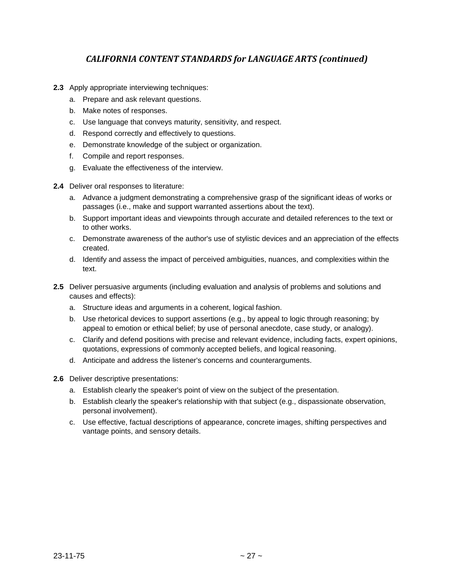- **2.3** Apply appropriate interviewing techniques:
	- a. Prepare and ask relevant questions.
	- b. Make notes of responses.
	- c. Use language that conveys maturity, sensitivity, and respect.
	- d. Respond correctly and effectively to questions.
	- e. Demonstrate knowledge of the subject or organization.
	- f. Compile and report responses.
	- g. Evaluate the effectiveness of the interview.
- **2.4** Deliver oral responses to literature:
	- a. Advance a judgment demonstrating a comprehensive grasp of the significant ideas of works or passages (i.e., make and support warranted assertions about the text).
	- b. Support important ideas and viewpoints through accurate and detailed references to the text or to other works.
	- c. Demonstrate awareness of the author's use of stylistic devices and an appreciation of the effects created.
	- d. Identify and assess the impact of perceived ambiguities, nuances, and complexities within the text.
- **2.5** Deliver persuasive arguments (including evaluation and analysis of problems and solutions and causes and effects):
	- a. Structure ideas and arguments in a coherent, logical fashion.
	- b. Use rhetorical devices to support assertions (e.g., by appeal to logic through reasoning; by appeal to emotion or ethical belief; by use of personal anecdote, case study, or analogy).
	- c. Clarify and defend positions with precise and relevant evidence, including facts, expert opinions, quotations, expressions of commonly accepted beliefs, and logical reasoning.
	- d. Anticipate and address the listener's concerns and counterarguments.
- **2.6** Deliver descriptive presentations:
	- a. Establish clearly the speaker's point of view on the subject of the presentation.
	- b. Establish clearly the speaker's relationship with that subject (e.g., dispassionate observation, personal involvement).
	- c. Use effective, factual descriptions of appearance, concrete images, shifting perspectives and vantage points, and sensory details.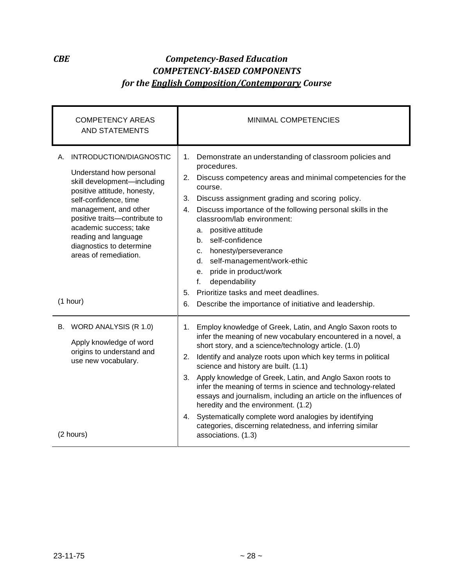# *CBE Competency-Based Education COMPETENCY-BASED COMPONENTS for the English Composition/Contemporary Course*

| <b>COMPETENCY AREAS</b><br><b>AND STATEMENTS</b>                                                                                                                                                                                                                                                                 | <b>MINIMAL COMPETENCIES</b>                                                                                                                                                                                                                                                                                                                                                                                                                                                                                                                           |
|------------------------------------------------------------------------------------------------------------------------------------------------------------------------------------------------------------------------------------------------------------------------------------------------------------------|-------------------------------------------------------------------------------------------------------------------------------------------------------------------------------------------------------------------------------------------------------------------------------------------------------------------------------------------------------------------------------------------------------------------------------------------------------------------------------------------------------------------------------------------------------|
| INTRODUCTION/DIAGNOSTIC<br>А.<br>Understand how personal<br>skill development-including<br>positive attitude, honesty,<br>self-confidence, time<br>management, and other<br>positive traits-contribute to<br>academic success; take<br>reading and language<br>diagnostics to determine<br>areas of remediation. | Demonstrate an understanding of classroom policies and<br>1.<br>procedures.<br>Discuss competency areas and minimal competencies for the<br>2.<br>course.<br>Discuss assignment grading and scoring policy.<br>3.<br>Discuss importance of the following personal skills in the<br>4.<br>classroom/lab environment:<br>positive attitude<br>а.<br>b. self-confidence<br>c. honesty/perseverance<br>self-management/work-ethic<br>d.<br>pride in product/work<br>e.<br>dependability<br>f.<br>Prioritize tasks and meet deadlines.<br>5.               |
| (1 hour)                                                                                                                                                                                                                                                                                                         | Describe the importance of initiative and leadership.<br>6.                                                                                                                                                                                                                                                                                                                                                                                                                                                                                           |
| B. WORD ANALYSIS (R 1.0)<br>Apply knowledge of word<br>origins to understand and<br>use new vocabulary.                                                                                                                                                                                                          | Employ knowledge of Greek, Latin, and Anglo Saxon roots to<br>1.<br>infer the meaning of new vocabulary encountered in a novel, a<br>short story, and a science/technology article. (1.0)<br>Identify and analyze roots upon which key terms in political<br>2.<br>science and history are built. (1.1)<br>Apply knowledge of Greek, Latin, and Anglo Saxon roots to<br>3.<br>infer the meaning of terms in science and technology-related<br>essays and journalism, including an article on the influences of<br>heredity and the environment. (1.2) |
| (2 hours)                                                                                                                                                                                                                                                                                                        | Systematically complete word analogies by identifying<br>4.<br>categories, discerning relatedness, and inferring similar<br>associations. (1.3)                                                                                                                                                                                                                                                                                                                                                                                                       |

 $\mathbf{r}$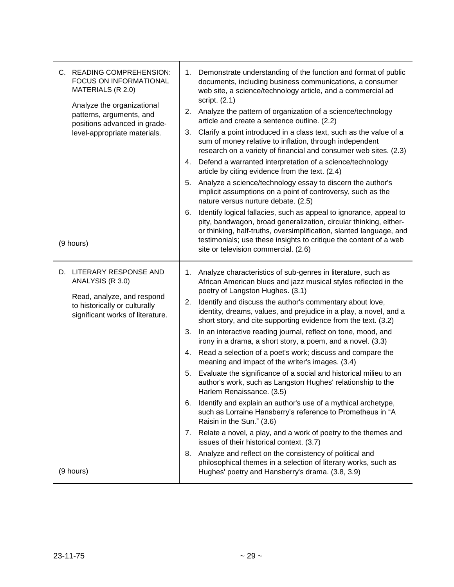| C. READING COMPREHENSION:<br>FOCUS ON INFORMATIONAL<br>MATERIALS (R 2.0)                                               | 1. Demonstrate understanding of the function and format of public<br>documents, including business communications, a consumer<br>web site, a science/technology article, and a commercial ad<br>script. (2.1)                                                                                                                     |
|------------------------------------------------------------------------------------------------------------------------|-----------------------------------------------------------------------------------------------------------------------------------------------------------------------------------------------------------------------------------------------------------------------------------------------------------------------------------|
| Analyze the organizational<br>patterns, arguments, and<br>positions advanced in grade-<br>level-appropriate materials. | 2. Analyze the pattern of organization of a science/technology<br>article and create a sentence outline. (2.2)                                                                                                                                                                                                                    |
|                                                                                                                        | Clarify a point introduced in a class text, such as the value of a<br>3.<br>sum of money relative to inflation, through independent<br>research on a variety of financial and consumer web sites. (2.3)                                                                                                                           |
|                                                                                                                        | 4. Defend a warranted interpretation of a science/technology<br>article by citing evidence from the text. (2.4)                                                                                                                                                                                                                   |
|                                                                                                                        | Analyze a science/technology essay to discern the author's<br>5.<br>implicit assumptions on a point of controversy, such as the<br>nature versus nurture debate. (2.5)                                                                                                                                                            |
| (9 hours)                                                                                                              | Identify logical fallacies, such as appeal to ignorance, appeal to<br>6.<br>pity, bandwagon, broad generalization, circular thinking, either-<br>or thinking, half-truths, oversimplification, slanted language, and<br>testimonials; use these insights to critique the content of a web<br>site or television commercial. (2.6) |
| D. LITERARY RESPONSE AND<br>ANALYSIS (R 3.0)                                                                           | Analyze characteristics of sub-genres in literature, such as<br>1.<br>African American blues and jazz musical styles reflected in the<br>poetry of Langston Hughes. (3.1)                                                                                                                                                         |
| Read, analyze, and respond<br>to historically or culturally<br>significant works of literature.                        | Identify and discuss the author's commentary about love,<br>2.<br>identity, dreams, values, and prejudice in a play, a novel, and a<br>short story, and cite supporting evidence from the text. (3.2)                                                                                                                             |
|                                                                                                                        | In an interactive reading journal, reflect on tone, mood, and<br>3.<br>irony in a drama, a short story, a poem, and a novel. (3.3)                                                                                                                                                                                                |
|                                                                                                                        | 4. Read a selection of a poet's work; discuss and compare the<br>meaning and impact of the writer's images. (3.4)                                                                                                                                                                                                                 |
|                                                                                                                        | 5. Evaluate the significance of a social and historical milieu to an<br>author's work, such as Langston Hughes' relationship to the<br>Harlem Renaissance. (3.5)                                                                                                                                                                  |
|                                                                                                                        | Identify and explain an author's use of a mythical archetype,<br>6.<br>such as Lorraine Hansberry's reference to Prometheus in "A<br>Raisin in the Sun." (3.6)                                                                                                                                                                    |
|                                                                                                                        | 7. Relate a novel, a play, and a work of poetry to the themes and<br>issues of their historical context. (3.7)                                                                                                                                                                                                                    |
| (9 hours)                                                                                                              | 8. Analyze and reflect on the consistency of political and<br>philosophical themes in a selection of literary works, such as<br>Hughes' poetry and Hansberry's drama. (3.8, 3.9)                                                                                                                                                  |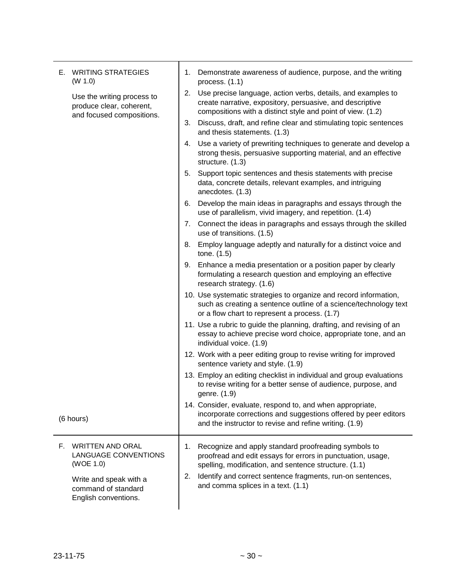| E. WRITING STRATEGIES<br>(W 1.0)                                                    | Demonstrate awareness of audience, purpose, and the writing<br>1.<br>process. $(1.1)$                                                                                                          |
|-------------------------------------------------------------------------------------|------------------------------------------------------------------------------------------------------------------------------------------------------------------------------------------------|
| Use the writing process to<br>produce clear, coherent,<br>and focused compositions. | Use precise language, action verbs, details, and examples to<br>2.<br>create narrative, expository, persuasive, and descriptive<br>compositions with a distinct style and point of view. (1.2) |
|                                                                                     | Discuss, draft, and refine clear and stimulating topic sentences<br>3.<br>and thesis statements. (1.3)                                                                                         |
|                                                                                     | 4. Use a variety of prewriting techniques to generate and develop a<br>strong thesis, persuasive supporting material, and an effective<br>structure. (1.3)                                     |
|                                                                                     | Support topic sentences and thesis statements with precise<br>5.<br>data, concrete details, relevant examples, and intriguing<br>anecdotes. (1.3)                                              |
|                                                                                     | Develop the main ideas in paragraphs and essays through the<br>6.<br>use of parallelism, vivid imagery, and repetition. (1.4)                                                                  |
|                                                                                     | Connect the ideas in paragraphs and essays through the skilled<br>7.<br>use of transitions. (1.5)                                                                                              |
|                                                                                     | Employ language adeptly and naturally for a distinct voice and<br>8.<br>tone. (1.5)                                                                                                            |
|                                                                                     | Enhance a media presentation or a position paper by clearly<br>9.<br>formulating a research question and employing an effective<br>research strategy. (1.6)                                    |
|                                                                                     | 10. Use systematic strategies to organize and record information,<br>such as creating a sentence outline of a science/technology text<br>or a flow chart to represent a process. (1.7)         |
|                                                                                     | 11. Use a rubric to guide the planning, drafting, and revising of an<br>essay to achieve precise word choice, appropriate tone, and an<br>individual voice. (1.9)                              |
|                                                                                     | 12. Work with a peer editing group to revise writing for improved<br>sentence variety and style. (1.9)                                                                                         |
|                                                                                     | 13. Employ an editing checklist in individual and group evaluations<br>to revise writing for a better sense of audience, purpose, and<br>genre. (1.9)                                          |
| (6 hours)                                                                           | 14. Consider, evaluate, respond to, and when appropriate,<br>incorporate corrections and suggestions offered by peer editors<br>and the instructor to revise and refine writing. (1.9)         |
| Е.<br><b>WRITTEN AND ORAL</b><br><b>LANGUAGE CONVENTIONS</b><br>(WOE 1.0)           | Recognize and apply standard proofreading symbols to<br>1.<br>proofread and edit essays for errors in punctuation, usage,<br>spelling, modification, and sentence structure. (1.1)             |
| Write and speak with a<br>command of standard<br>English conventions.               | Identify and correct sentence fragments, run-on sentences,<br>2.<br>and comma splices in a text. (1.1)                                                                                         |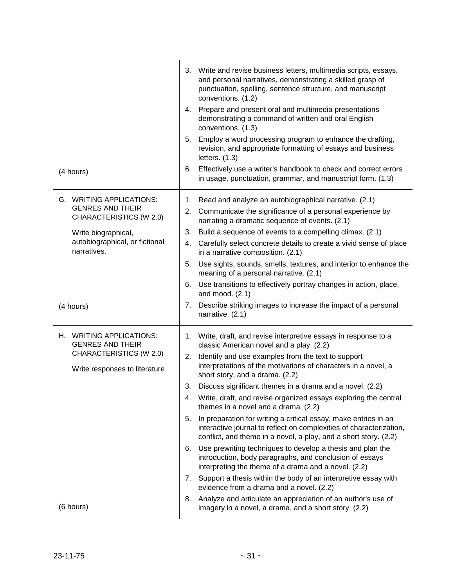| (4 hours)                                                                                                                                              | Write and revise business letters, multimedia scripts, essays,<br>3.<br>and personal narratives, demonstrating a skilled grasp of<br>punctuation, spelling, sentence structure, and manuscript<br>conventions. (1.2)<br>Prepare and present oral and multimedia presentations<br>4.<br>demonstrating a command of written and oral English<br>conventions. (1.3)<br>Employ a word processing program to enhance the drafting,<br>5.<br>revision, and appropriate formatting of essays and business<br>letters. $(1.3)$<br>Effectively use a writer's handbook to check and correct errors<br>6.<br>in usage, punctuation, grammar, and manuscript form. (1.3)                                                                                                                                                                                                                                                                                                                                      |
|--------------------------------------------------------------------------------------------------------------------------------------------------------|----------------------------------------------------------------------------------------------------------------------------------------------------------------------------------------------------------------------------------------------------------------------------------------------------------------------------------------------------------------------------------------------------------------------------------------------------------------------------------------------------------------------------------------------------------------------------------------------------------------------------------------------------------------------------------------------------------------------------------------------------------------------------------------------------------------------------------------------------------------------------------------------------------------------------------------------------------------------------------------------------|
| G. WRITING APPLICATIONS:<br><b>GENRES AND THEIR</b><br>CHARACTERISTICS (W 2.0)<br>Write biographical,<br>autobiographical, or fictional<br>narratives. | Read and analyze an autobiographical narrative. (2.1)<br>1.<br>Communicate the significance of a personal experience by<br>2.<br>narrating a dramatic sequence of events. (2.1)<br>Build a sequence of events to a compelling climax. (2.1)<br>3.<br>Carefully select concrete details to create a vivid sense of place<br>4.<br>in a narrative composition. (2.1)<br>Use sights, sounds, smells, textures, and interior to enhance the<br>5.<br>meaning of a personal narrative. (2.1)<br>Use transitions to effectively portray changes in action, place,<br>6.<br>and mood. $(2.1)$                                                                                                                                                                                                                                                                                                                                                                                                             |
| (4 hours)                                                                                                                                              | Describe striking images to increase the impact of a personal<br>7.<br>narrative. (2.1)                                                                                                                                                                                                                                                                                                                                                                                                                                                                                                                                                                                                                                                                                                                                                                                                                                                                                                            |
| H. WRITING APPLICATIONS:<br><b>GENRES AND THEIR</b><br>CHARACTERISTICS (W 2.0)<br>Write responses to literature.                                       | Write, draft, and revise interpretive essays in response to a<br>1.<br>classic American novel and a play. (2.2)<br>Identify and use examples from the text to support<br>2.<br>interpretations of the motivations of characters in a novel, a<br>short story, and a drama. (2.2)<br>Discuss significant themes in a drama and a novel. (2.2)<br>3.<br>Write, draft, and revise organized essays exploring the central<br>4.<br>themes in a novel and a drama. (2.2)<br>In preparation for writing a critical essay, make entries in an<br>5.<br>interactive journal to reflect on complexities of characterization,<br>conflict, and theme in a novel, a play, and a short story. (2.2)<br>Use prewriting techniques to develop a thesis and plan the<br>6.<br>introduction, body paragraphs, and conclusion of essays<br>interpreting the theme of a drama and a novel. (2.2)<br>Support a thesis within the body of an interpretive essay with<br>7.<br>evidence from a drama and a novel. (2.2) |
| (6 hours)                                                                                                                                              | Analyze and articulate an appreciation of an author's use of<br>8.<br>imagery in a novel, a drama, and a short story. (2.2)                                                                                                                                                                                                                                                                                                                                                                                                                                                                                                                                                                                                                                                                                                                                                                                                                                                                        |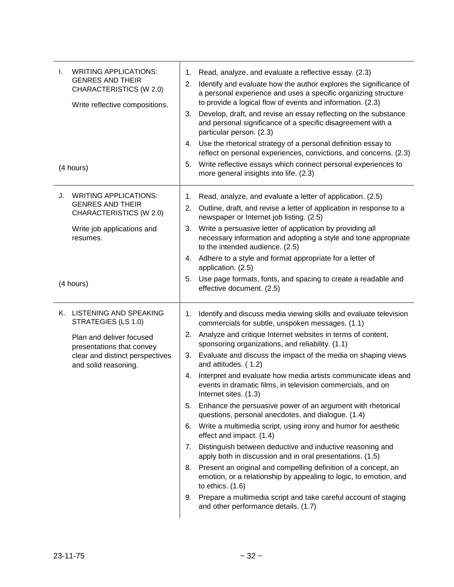| <b>WRITING APPLICATIONS:</b><br>L.<br><b>GENRES AND THEIR</b><br>CHARACTERISTICS (W 2.0)<br>Write reflective compositions.<br>(4 hours) | Read, analyze, and evaluate a reflective essay. (2.3)<br>1.<br>Identify and evaluate how the author explores the significance of<br>2.<br>a personal experience and uses a specific organizing structure<br>to provide a logical flow of events and information. (2.3)<br>Develop, draft, and revise an essay reflecting on the substance<br>3.<br>and personal significance of a specific disagreement with a<br>particular person. (2.3)<br>Use the rhetorical strategy of a personal definition essay to<br>4.<br>reflect on personal experiences, convictions, and concerns. (2.3)<br>Write reflective essays which connect personal experiences to<br>5.<br>more general insights into life. (2.3) |
|-----------------------------------------------------------------------------------------------------------------------------------------|---------------------------------------------------------------------------------------------------------------------------------------------------------------------------------------------------------------------------------------------------------------------------------------------------------------------------------------------------------------------------------------------------------------------------------------------------------------------------------------------------------------------------------------------------------------------------------------------------------------------------------------------------------------------------------------------------------|
| <b>WRITING APPLICATIONS:</b><br>J.<br><b>GENRES AND THEIR</b><br>CHARACTERISTICS (W 2.0)<br>Write job applications and<br>resumes.      | Read, analyze, and evaluate a letter of application. (2.5)<br>1.<br>Outline, draft, and revise a letter of application in response to a<br>2.<br>newspaper or Internet job listing. (2.5)<br>Write a persuasive letter of application by providing all<br>3.<br>necessary information and adopting a style and tone appropriate<br>to the intended audience. (2.5)                                                                                                                                                                                                                                                                                                                                      |
|                                                                                                                                         | 4. Adhere to a style and format appropriate for a letter of<br>application. (2.5)                                                                                                                                                                                                                                                                                                                                                                                                                                                                                                                                                                                                                       |
| (4 hours)                                                                                                                               | Use page formats, fonts, and spacing to create a readable and<br>5.<br>effective document. (2.5)                                                                                                                                                                                                                                                                                                                                                                                                                                                                                                                                                                                                        |
| K. LISTENING AND SPEAKING<br>STRATEGIES (LS 1.0)                                                                                        | Identify and discuss media viewing skills and evaluate television<br>1.<br>commercials for subtle, unspoken messages. (1.1)                                                                                                                                                                                                                                                                                                                                                                                                                                                                                                                                                                             |
| Plan and deliver focused<br>presentations that convey                                                                                   | Analyze and critique Internet websites in terms of content,<br>2.<br>sponsoring organizations, and reliability. (1.1)                                                                                                                                                                                                                                                                                                                                                                                                                                                                                                                                                                                   |
| clear and distinct perspectives<br>and solid reasoning.                                                                                 | Evaluate and discuss the impact of the media on shaping views<br>3.<br>and attitudes. (1.2)                                                                                                                                                                                                                                                                                                                                                                                                                                                                                                                                                                                                             |
|                                                                                                                                         | Interpret and evaluate how media artists communicate ideas and<br>4.<br>events in dramatic films, in television commercials, and on<br>Internet sites. (1.3)                                                                                                                                                                                                                                                                                                                                                                                                                                                                                                                                            |
|                                                                                                                                         | Enhance the persuasive power of an argument with rhetorical<br>5.<br>questions, personal anecdotes, and dialogue. (1.4)                                                                                                                                                                                                                                                                                                                                                                                                                                                                                                                                                                                 |
|                                                                                                                                         | Write a multimedia script, using irony and humor for aesthetic<br>6.<br>effect and impact. (1.4)                                                                                                                                                                                                                                                                                                                                                                                                                                                                                                                                                                                                        |
|                                                                                                                                         | Distinguish between deductive and inductive reasoning and<br>7.<br>apply both in discussion and in oral presentations. (1.5)                                                                                                                                                                                                                                                                                                                                                                                                                                                                                                                                                                            |
|                                                                                                                                         | Present an original and compelling definition of a concept, an<br>8.<br>emotion, or a relationship by appealing to logic, to emotion, and<br>to ethics. $(1.6)$                                                                                                                                                                                                                                                                                                                                                                                                                                                                                                                                         |
|                                                                                                                                         | Prepare a multimedia script and take careful account of staging<br>9.<br>and other performance details. (1.7)                                                                                                                                                                                                                                                                                                                                                                                                                                                                                                                                                                                           |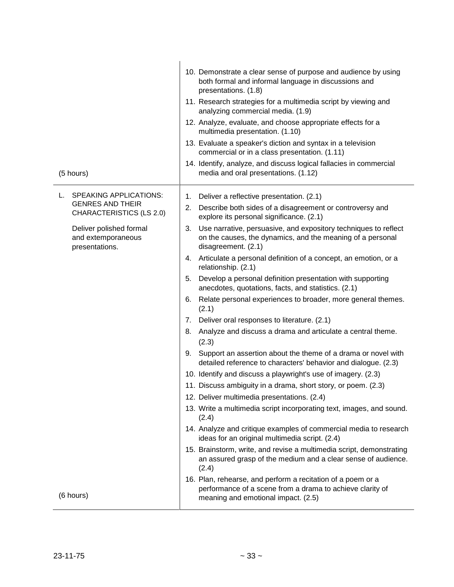| (5 hours)                                                                                                                                                     | 10. Demonstrate a clear sense of purpose and audience by using<br>both formal and informal language in discussions and<br>presentations. (1.8)<br>11. Research strategies for a multimedia script by viewing and<br>analyzing commercial media. (1.9)<br>12. Analyze, evaluate, and choose appropriate effects for a<br>multimedia presentation. (1.10)<br>13. Evaluate a speaker's diction and syntax in a television<br>commercial or in a class presentation. (1.11)<br>14. Identify, analyze, and discuss logical fallacies in commercial<br>media and oral presentations. (1.12)                                                                                                                                                                                                                                                                                                                                                                                                                                                                                                                                                                                                                                                                                                                                                                                                                                                                       |
|---------------------------------------------------------------------------------------------------------------------------------------------------------------|-------------------------------------------------------------------------------------------------------------------------------------------------------------------------------------------------------------------------------------------------------------------------------------------------------------------------------------------------------------------------------------------------------------------------------------------------------------------------------------------------------------------------------------------------------------------------------------------------------------------------------------------------------------------------------------------------------------------------------------------------------------------------------------------------------------------------------------------------------------------------------------------------------------------------------------------------------------------------------------------------------------------------------------------------------------------------------------------------------------------------------------------------------------------------------------------------------------------------------------------------------------------------------------------------------------------------------------------------------------------------------------------------------------------------------------------------------------|
| <b>SPEAKING APPLICATIONS:</b><br>L.<br><b>GENRES AND THEIR</b><br>CHARACTERISTICS (LS 2.0)<br>Deliver polished formal<br>and extemporaneous<br>presentations. | Deliver a reflective presentation. (2.1)<br>1.<br>Describe both sides of a disagreement or controversy and<br>2.<br>explore its personal significance. (2.1)<br>Use narrative, persuasive, and expository techniques to reflect<br>3.<br>on the causes, the dynamics, and the meaning of a personal<br>disagreement. (2.1)<br>Articulate a personal definition of a concept, an emotion, or a<br>4.<br>relationship. (2.1)<br>Develop a personal definition presentation with supporting<br>5.<br>anecdotes, quotations, facts, and statistics. (2.1)<br>Relate personal experiences to broader, more general themes.<br>6.<br>(2.1)<br>Deliver oral responses to literature. (2.1)<br>7.<br>Analyze and discuss a drama and articulate a central theme.<br>8.<br>(2.3)<br>Support an assertion about the theme of a drama or novel with<br>9.<br>detailed reference to characters' behavior and dialogue. (2.3)<br>10. Identify and discuss a playwright's use of imagery. (2.3)<br>11. Discuss ambiguity in a drama, short story, or poem. (2.3)<br>12. Deliver multimedia presentations. (2.4)<br>13. Write a multimedia script incorporating text, images, and sound.<br>(2.4)<br>14. Analyze and critique examples of commercial media to research<br>ideas for an original multimedia script. (2.4)<br>15. Brainstorm, write, and revise a multimedia script, demonstrating<br>an assured grasp of the medium and a clear sense of audience.<br>(2.4) |
| (6 hours)                                                                                                                                                     | 16. Plan, rehearse, and perform a recitation of a poem or a<br>performance of a scene from a drama to achieve clarity of<br>meaning and emotional impact. (2.5)                                                                                                                                                                                                                                                                                                                                                                                                                                                                                                                                                                                                                                                                                                                                                                                                                                                                                                                                                                                                                                                                                                                                                                                                                                                                                             |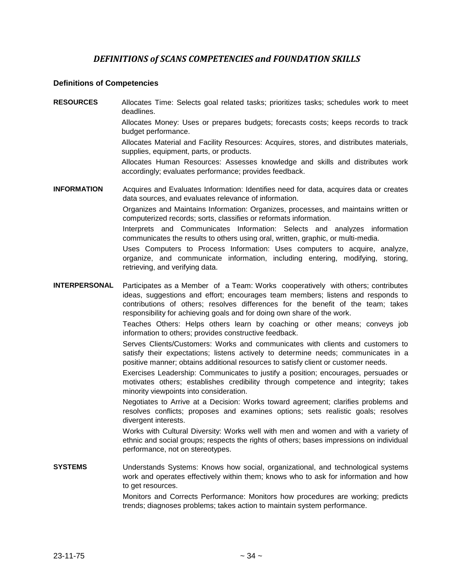## *DEFINITIONS of SCANS COMPETENCIES and FOUNDATION SKILLS*

#### **Definitions of Competencies**

**RESOURCES** Allocates Time: Selects goal related tasks; prioritizes tasks; schedules work to meet deadlines.

> Allocates Money: Uses or prepares budgets; forecasts costs; keeps records to track budget performance.

> Allocates Material and Facility Resources: Acquires, stores, and distributes materials, supplies, equipment, parts, or products.

> Allocates Human Resources: Assesses knowledge and skills and distributes work accordingly; evaluates performance; provides feedback.

**INFORMATION** Acquires and Evaluates Information: Identifies need for data, acquires data or creates data sources, and evaluates relevance of information.

> Organizes and Maintains Information: Organizes, processes, and maintains written or computerized records; sorts, classifies or reformats information.

> Interprets and Communicates Information: Selects and analyzes information communicates the results to others using oral, written, graphic, or multi-media.

> Uses Computers to Process Information: Uses computers to acquire, analyze, organize, and communicate information, including entering, modifying, storing, retrieving, and verifying data.

**INTERPERSONAL** Participates as a Member of a Team: Works cooperatively with others; contributes ideas, suggestions and effort; encourages team members; listens and responds to contributions of others; resolves differences for the benefit of the team; takes responsibility for achieving goals and for doing own share of the work.

> Teaches Others: Helps others learn by coaching or other means; conveys job information to others; provides constructive feedback.

> Serves Clients/Customers: Works and communicates with clients and customers to satisfy their expectations; listens actively to determine needs; communicates in a positive manner; obtains additional resources to satisfy client or customer needs.

> Exercises Leadership: Communicates to justify a position; encourages, persuades or motivates others; establishes credibility through competence and integrity; takes minority viewpoints into consideration.

> Negotiates to Arrive at a Decision: Works toward agreement; clarifies problems and resolves conflicts; proposes and examines options; sets realistic goals; resolves divergent interests.

> Works with Cultural Diversity: Works well with men and women and with a variety of ethnic and social groups; respects the rights of others; bases impressions on individual performance, not on stereotypes.

**SYSTEMS** Understands Systems: Knows how social, organizational, and technological systems work and operates effectively within them; knows who to ask for information and how to get resources.

Monitors and Corrects Performance: Monitors how procedures are working; predicts trends; diagnoses problems; takes action to maintain system performance.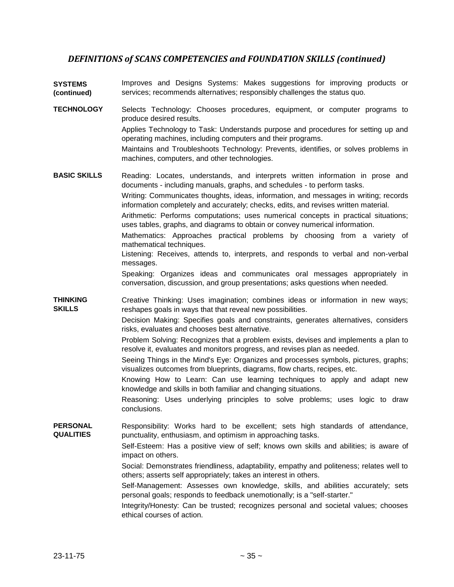## *DEFINITIONS of SCANS COMPETENCIES and FOUNDATION SKILLS (continued)*

**SYSTEMS (continued)** Improves and Designs Systems: Makes suggestions for improving products or services; recommends alternatives; responsibly challenges the status quo.

**TECHNOLOGY** Selects Technology: Chooses procedures, equipment, or computer programs to produce desired results. Applies Technology to Task: Understands purpose and procedures for setting up and operating machines, including computers and their programs. Maintains and Troubleshoots Technology: Prevents, identifies, or solves problems in machines, computers, and other technologies.

**BASIC SKILLS** Reading: Locates, understands, and interprets written information in prose and documents - including manuals, graphs, and schedules - to perform tasks. Writing: Communicates thoughts, ideas, information, and messages in writing; records information completely and accurately; checks, edits, and revises written material. Arithmetic: Performs computations; uses numerical concepts in practical situations; uses tables, graphs, and diagrams to obtain or convey numerical information. Mathematics: Approaches practical problems by choosing from a variety of mathematical techniques. Listening: Receives, attends to, interprets, and responds to verbal and non-verbal

messages.

Speaking: Organizes ideas and communicates oral messages appropriately in conversation, discussion, and group presentations; asks questions when needed.

**THINKING SKILLS** Creative Thinking: Uses imagination; combines ideas or information in new ways; reshapes goals in ways that that reveal new possibilities.

> Decision Making: Specifies goals and constraints, generates alternatives, considers risks, evaluates and chooses best alternative.

> Problem Solving: Recognizes that a problem exists, devises and implements a plan to resolve it, evaluates and monitors progress, and revises plan as needed.

> Seeing Things in the Mind's Eye: Organizes and processes symbols, pictures, graphs; visualizes outcomes from blueprints, diagrams, flow charts, recipes, etc.

> Knowing How to Learn: Can use learning techniques to apply and adapt new knowledge and skills in both familiar and changing situations.

> Reasoning: Uses underlying principles to solve problems; uses logic to draw conclusions.

**PERSONAL QUALITIES** Responsibility: Works hard to be excellent; sets high standards of attendance, punctuality, enthusiasm, and optimism in approaching tasks.

> Self-Esteem: Has a positive view of self; knows own skills and abilities; is aware of impact on others.

> Social: Demonstrates friendliness, adaptability, empathy and politeness; relates well to others; asserts self appropriately; takes an interest in others.

> Self-Management: Assesses own knowledge, skills, and abilities accurately; sets personal goals; responds to feedback unemotionally; is a "self-starter."

> Integrity/Honesty: Can be trusted; recognizes personal and societal values; chooses ethical courses of action.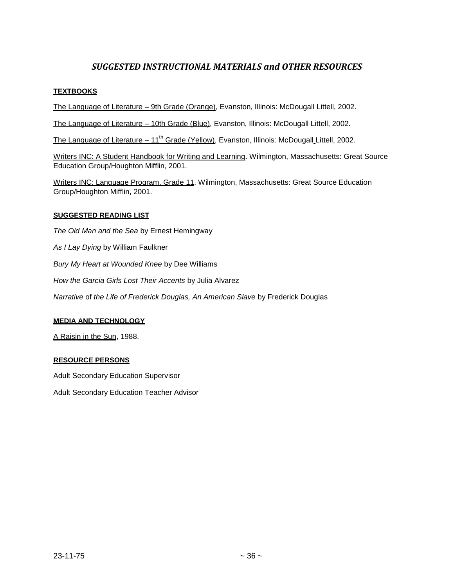## *SUGGESTED INSTRUCTIONAL MATERIALS and OTHER RESOURCES*

#### **TEXTBOOKS**

The Language of Literature – 9th Grade (Orange), Evanston, Illinois: McDougall Littell, 2002.

The Language of Literature - 10th Grade (Blue), Evanston, Illinois: McDougall Littell, 2002.

The Language of Literature  $-11<sup>th</sup>$  Grade (Yellow), Evanston, Illinois: McDougall Littell, 2002.

Writers INC: A Student Handbook for Writing and Learning. Wilmington, Massachusetts: Great Source Education Group/Houghton Mifflin, 2001.

Writers INC: Language Program, Grade 11. Wilmington, Massachusetts: Great Source Education Group/Houghton Mifflin, 2001.

#### **SUGGESTED READING LIST**

*The Old Man and the Sea* by Ernest Hemingway *As I Lay Dying* by William Faulkner *Bury My Heart at Wounded Knee* by Dee Williams *How the Garcia Girls Lost Their Accents* by Julia Alvarez *Narrative* of *the Life of Frederick Douglas, An American Slave* by Frederick Douglas

#### **MEDIA AND TECHNOLOGY**

A Raisin in the Sun, 1988.

#### **RESOURCE PERSONS**

Adult Secondary Education Supervisor

Adult Secondary Education Teacher Advisor